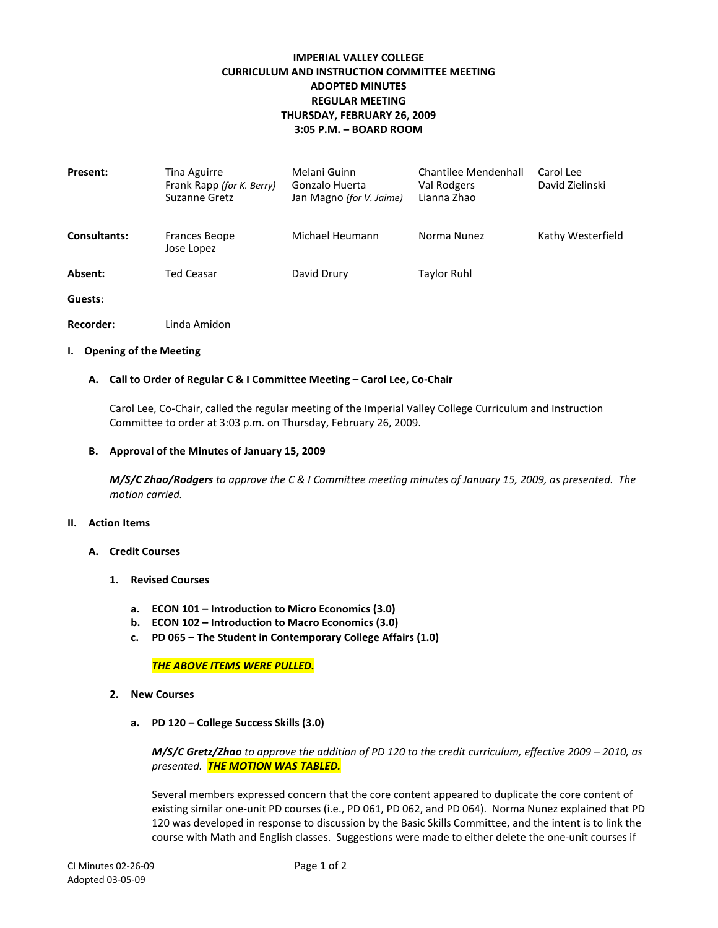# **IMPERIAL VALLEY COLLEGE CURRICULUM AND INSTRUCTION COMMITTEE MEETING ADOPTED MINUTES REGULAR MEETING THURSDAY, FEBRUARY 26, 2009 3:05 P.M. – BOARD ROOM**

| Present:            | Tina Aguirre<br>Frank Rapp (for K. Berry)<br>Suzanne Gretz | Melani Guinn<br>Gonzalo Huerta<br>Jan Magno (for V. Jaime) | Chantilee Mendenhall<br>Val Rodgers<br>Lianna Zhao | Carol Lee<br>David Zielinski |
|---------------------|------------------------------------------------------------|------------------------------------------------------------|----------------------------------------------------|------------------------------|
| <b>Consultants:</b> | <b>Frances Beope</b><br>Jose Lopez                         | Michael Heumann                                            | Norma Nunez                                        | Kathy Westerfield            |
| Absent:             | <b>Ted Ceasar</b>                                          | David Drury                                                | <b>Taylor Ruhl</b>                                 |                              |
| Guests:             |                                                            |                                                            |                                                    |                              |

**Recorder:** Linda Amidon

### **I. Opening of the Meeting**

### **A. Call to Order of Regular C & I Committee Meeting – Carol Lee, Co-Chair**

Carol Lee, Co-Chair, called the regular meeting of the Imperial Valley College Curriculum and Instruction Committee to order at 3:03 p.m. on Thursday, February 26, 2009.

#### **B. Approval of the Minutes of January 15, 2009**

*M/S/C Zhao/Rodgers to approve the C & I Committee meeting minutes of January 15, 2009, as presented. The motion carried.*

#### **II. Action Items**

- **A. Credit Courses**
	- **1. Revised Courses**
		- **a. ECON 101 – Introduction to Micro Economics (3.0)**
		- **b. ECON 102 – Introduction to Macro Economics (3.0)**
		- **c. PD 065 – The Student in Contemporary College Affairs (1.0)**

*THE ABOVE ITEMS WERE PULLED.*

- **2. New Courses**
	- **a. PD 120 – College Success Skills (3.0)**

*M/S/C Gretz/Zhao to approve the addition of PD 120 to the credit curriculum, effective 2009 – 2010, as presented. THE MOTION WAS TABLED.*

Several members expressed concern that the core content appeared to duplicate the core content of existing similar one-unit PD courses (i.e., PD 061, PD 062, and PD 064). Norma Nunez explained that PD 120 was developed in response to discussion by the Basic Skills Committee, and the intent is to link the course with Math and English classes. Suggestions were made to either delete the one-unit courses if